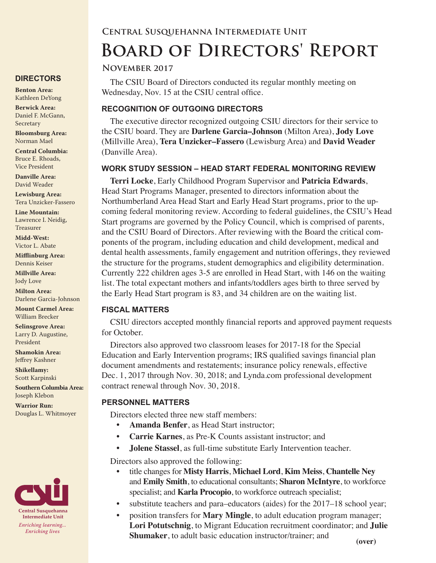# **Central Susquehanna Intermediate Unit Board of Directors' Report**

#### **November 2017**

The CSIU Board of Directors conducted its regular monthly meeting on Wednesday, Nov. 15 at the CSIU central office.

#### **RECOGNITION OF OUTGOING DIRECTORS**

The executive director recognized outgoing CSIU directors for their service to the CSIU board. They are **Darlene Garcia–Johnson** (Milton Area), **Jody Love** (Millville Area), **Tera Unzicker–Fassero** (Lewisburg Area) and **David Weader** (Danville Area).

#### **WORK STUDY SESSION – HEAD START FEDERAL MONITORING REVIEW**

**Terri Locke**, Early Childhood Program Supervisor and **Patricia Edwards**, Head Start Programs Manager, presented to directors information about the Northumberland Area Head Start and Early Head Start programs, prior to the upcoming federal monitoring review. According to federal guidelines, the CSIU's Head Start programs are governed by the Policy Council, which is comprised of parents, and the CSIU Board of Directors. After reviewing with the Board the critical components of the program, including education and child development, medical and dental health assessments, family engagement and nutrition offerings, they reviewed the structure for the programs, student demographics and eligibility determination. Currently 222 children ages 3-5 are enrolled in Head Start, with 146 on the waiting list. The total expectant mothers and infants/toddlers ages birth to three served by the Early Head Start program is 83, and 34 children are on the waiting list.

## **FISCAL MATTERS**

CSIU directors accepted monthly financial reports and approved payment requests for October.

Directors also approved two classroom leases for 2017-18 for the Special Education and Early Intervention programs; IRS qualified savings financial plan document amendments and restatements; insurance policy renewals, effective Dec. 1, 2017 through Nov. 30, 2018; and Lynda.com professional development contract renewal through Nov. 30, 2018.

## **PERSONNEL MATTERS**

Directors elected three new staff members:

- **• Amanda Benfer**, as Head Start instructor;
- **• Carrie Karnes**, as Pre-K Counts assistant instructor; and
- **• Jolene Stassel**, as full-time substitute Early Intervention teacher.

Directors also approved the following:

- title changes for **Misty Harris**, **Michael Lord**, **Kim Meiss**, **Chantelle Ney** and **Emily Smith**, to educational consultants; **Sharon McIntyre**, to workforce specialist; and **Karla Procopio**, to workforce outreach specialist;
- substitute teachers and para–educators (aides) for the 2017–18 school year;
- position transfers for **Mary Mingle**, to adult education program manager; **Lori Potutschnig**, to Migrant Education recruitment coordinator; and **Julie Shumaker**, to adult basic education instructor/trainer; and **(over)**

## **DIRECTORS**

**Benton Area:** Kathleen DeYong

**Berwick Area:** Daniel F. McGann, Secretary

**Bloomsburg Area:**  Norman Mael

**Central Columbia:** Bruce E. Rhoads, Vice President

**Danville Area:** David Weader

**Lewisburg Area:** Tera Unzicker-Fassero

**Line Mountain:** Lawrence I. Neidig, Treasurer

**Midd-West:**  Victor L. Abate

**Mifflinburg Area:** Dennis Keiser

**Millville Area:** Jody Love

**Milton Area:** Darlene Garcia-Johnson

**Mount Carmel Area:**  William Brecker

**Selinsgrove Area:**  Larry D. Augustine, President

**Shamokin Area:** Jeffrey Kashner

**Shikellamy:**  Scott Karpinski

**Southern Columbia Area:** Joseph Klebon

**Warrior Run:** Douglas L. Whitmoyer